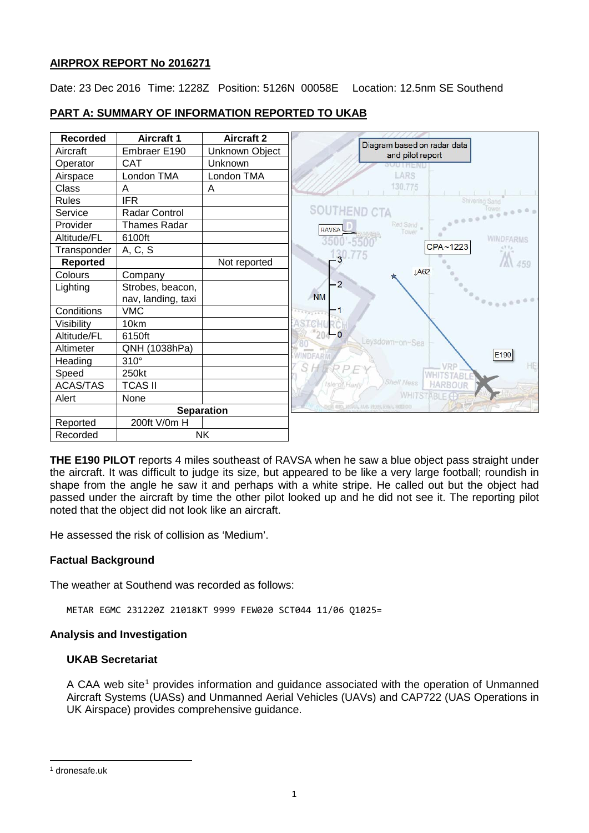# **AIRPROX REPORT No 2016271**

Date: 23 Dec 2016 Time: 1228Z Position: 5126N 00058E Location: 12.5nm SE Southend

#### **Recorded Aircraft 1 Aircraft 2** Diagram based on radar data Aircraft | Embraer E190 | Unknown Object and pilot report Operator | CAT | Unknown Airspace | London TMA | London TMA LARS 130,775 Class | A A Rules | IFR **SOUTHEND CTA** Service Radar Control  $\sim$ Red Sand Provider | Thames Radar RAVSA Altitude/FL 6100ft **WINDFARMS**  $3500 - 5500$  $CPA - 1223$  $130.775$ Transponder  $|$  A, C, S **Reported** | Not reported 459 **IA62** Colours Company  $\overline{2}$ Lighting | Strobes, beacon, **NM** nav, landing, taxi Conditions VMC  $\overline{1}$ Visibility 10km  $C11$  $20$  $\overline{0}$ Altitude/FL 6150ft Leysdown-on-Sea Altimeter | QNH (1038hPa) **INDFAR**  $F190$ Heading 310° RPF VRP S Speed 250kt **WHITSTAB** Shell Ness HARBOUR ACAS/TAS | TCAS II **WHITSTABLE** Alert None **Separation** Reported 200ft V/0m H Recorded | NK

**PART A: SUMMARY OF INFORMATION REPORTED TO UKAB**

**THE E190 PILOT** reports 4 miles southeast of RAVSA when he saw a blue object pass straight under the aircraft. It was difficult to judge its size, but appeared to be like a very large football; roundish in shape from the angle he saw it and perhaps with a white stripe. He called out but the object had passed under the aircraft by time the other pilot looked up and he did not see it. The reporting pilot noted that the object did not look like an aircraft.

He assessed the risk of collision as 'Medium'.

## **Factual Background**

The weather at Southend was recorded as follows:

METAR EGMC 231220Z 21018KT 9999 FEW020 SCT044 11/06 Q1025=

## **Analysis and Investigation**

## **UKAB Secretariat**

A CAA web site<sup>[1](#page-0-0)</sup> provides information and guidance associated with the operation of Unmanned Aircraft Systems (UASs) and Unmanned Aerial Vehicles (UAVs) and CAP722 (UAS Operations in UK Airspace) provides comprehensive guidance.

 $\overline{\phantom{a}}$ 

<span id="page-0-0"></span><sup>1</sup> dronesafe.uk